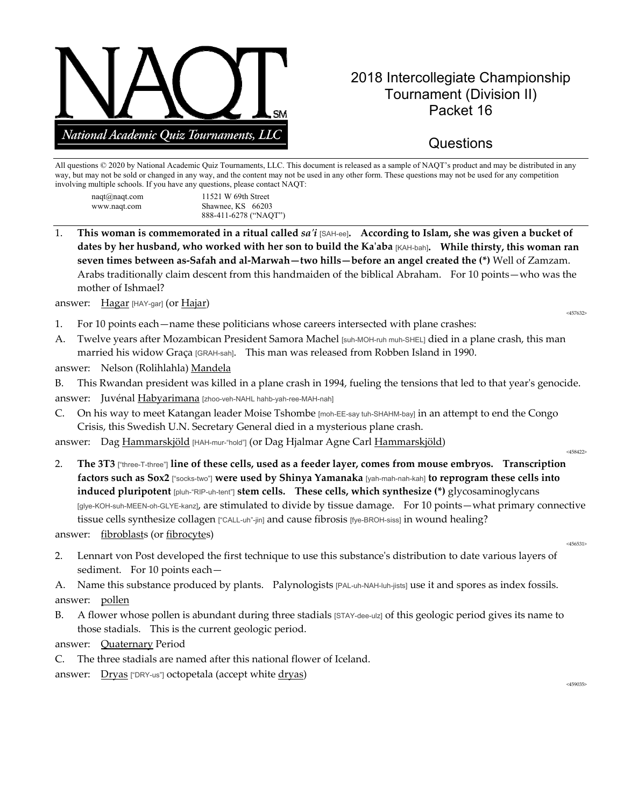

## 2018 Intercollegiate Championship Tournament (Division II) Packet 16

## **Questions**

All questions © 2020 by National Academic Quiz Tournaments, LLC. This document is released as a sample of NAQT's product and may be distributed in any way, but may not be sold or changed in any way, and the content may not be used in any other form. These questions may not be used for any competition involving multiple schools. If you have any questions, please contact NAQT:

| $naqt(\omega)naqt.com$ | 11521 W 69th Street   |
|------------------------|-----------------------|
| www.naqt.com           | Shawnee, KS 66203     |
|                        | 888-411-6278 ("NAQT") |

1. **This woman is commemorated in a ritual called** *sa'i* [SAH-ee]**. According to Islam, she was given a bucket of dates by her husband, who worked with her son to build the Ka'aba** [KAH-bah]**. While thirsty, this woman ran seven times between as-Safah and al-Marwah—two hills—before an angel created the (\*)** Well of Zamzam. Arabs traditionally claim descent from this handmaiden of the biblical Abraham. For 10 points—who was the mother of Ishmael?

answer: Hagar [HAY-gar] (or Hajar)  $\frac{457632}{457632}$ 

- 1. For 10 points each—name these politicians whose careers intersected with plane crashes:
- A. Twelve years after Mozambican President Samora Machel [suh-MOH-ruh muh-SHEL] died in a plane crash, this man married his widow Graça [GRAH-sah]. This man was released from Robben Island in 1990.
- answer: Nelson (Rolihlahla) Mandela

B. This Rwandan president was killed in a plane crash in 1994, fueling the tensions that led to that year's genocide. answer: Juvénal Habyarimana [zhoo-veh-NAHL hahb-yah-ree-MAH-nah]

C. On his way to meet Katangan leader Moise Tshombe [moh-EE-say tuh-SHAHM-bay] in an attempt to end the Congo Crisis, this Swedish U.N. Secretary General died in a mysterious plane crash.

answer: Dag Hammarskjöld [HAH-mur-"hold"] (or Dag Hjalmar Agne Carl Hammarskjöld) <458422>

2. **The 3T3** ["three-T-three"] **line of these cells, used as a feeder layer, comes from mouse embryos. Transcription factors such as Sox2** ["socks-two"] **were used by Shinya Yamanaka** [yah-mah-nah-kah] **to reprogram these cells into induced pluripotent** [pluh-"RIP-uh-tent"] **stem cells. These cells, which synthesize (\*)** glycosaminoglycans [glye-KOH-suh-MEEN-oh-GLYE-kanz], are stimulated to divide by tissue damage. For 10 points—what primary connective tissue cells synthesize collagen ["CALL-uh"-jin] and cause fibrosis [fye-BROH-siss] in wound healing?

answer: <u>fibroblast</u>s (or <u>fibrocyte</u>s)  $\frac{456531}{456531}$ 

2. Lennart von Post developed the first technique to use this substance's distribution to date various layers of sediment. For 10 points each—

A. Name this substance produced by plants. Palynologists [PAL-uh-NAH-luh-jists] use it and spores as index fossils. answer: pollen

B. A flower whose pollen is abundant during three stadials [STAY-dee-ulz] of this geologic period gives its name to those stadials. This is the current geologic period.

answer: Quaternary Period

C. The three stadials are named after this national flower of Iceland.

answer: Dryas ["DRY-us"] octopetala (accept white  $\frac{dryas}{\text{ days}}$ )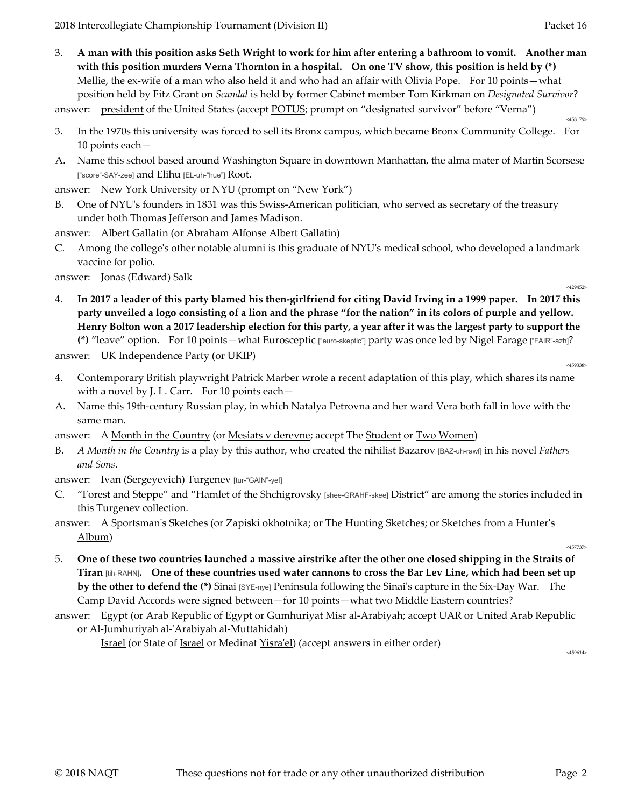3. **A man with this position asks Seth Wright to work for him after entering a bathroom to vomit. Another man with this position murders Verna Thornton in a hospital. On one TV show, this position is held by (\*)** Mellie, the ex-wife of a man who also held it and who had an affair with Olivia Pope. For 10 points—what position held by Fitz Grant on *Scandal* is held by former Cabinet member Tom Kirkman on *Designated Survivor*?

answer: president of the United States (accept POTUS; prompt on "designated survivor" before "Verna")

- 3. In the 1970s this university was forced to sell its Bronx campus, which became Bronx Community College. For 10 points each—
- A. Name this school based around Washington Square in downtown Manhattan, the alma mater of Martin Scorsese ["score"-SAY-zee] and Elihu [EL-uh-"hue"] Root.

answer: New York University or NYU (prompt on "New York")

B. One of NYU's founders in 1831 was this Swiss-American politician, who served as secretary of the treasury under both Thomas Jefferson and James Madison.

answer: Albert Gallatin (or Abraham Alfonse Albert Gallatin)

C. Among the college's other notable alumni is this graduate of NYU's medical school, who developed a landmark vaccine for polio.

answer: Jonas (Edward) Salk

- 
- 4. **In 2017 a leader of this party blamed his then-girlfriend for citing David Irving in a 1999 paper. In 2017 this party unveiled a logo consisting of a lion and the phrase "for the nation" in its colors of purple and yellow. Henry Bolton won a 2017 leadership election for this party, a year after it was the largest party to support the (\*)** "leave" option. For 10 points—what Eurosceptic ["euro-skeptic"] party was once led by Nigel Farage ["FAIR"-azh]?

answer: <u>UK Independence</u> Party (or <u>UKIP</u>)  $\frac{459338}{459338}$ 

- 4. Contemporary British playwright Patrick Marber wrote a recent adaptation of this play, which shares its name with a novel by J. L. Carr. For 10 points each—
- A. Name this 19th-century Russian play, in which Natalya Petrovna and her ward Vera both fall in love with the same man.
- answer: A Month in the Country (or Mesiats v derevne; accept The Student or Two Women)
- B. *A Month in the Country* is a play by this author, who created the nihilist Bazarov [BAZ-uh-rawf] in his novel *Fathers and Sons*.
- answer: Ivan (Sergeyevich) Turgenev [tur-"GAIN"-yef]
- C. "Forest and Steppe" and "Hamlet of the Shchigrovsky [shee-GRAHF-skee] District" are among the stories included in this Turgenev collection.
- answer: A Sportsman's Sketches (or Zapiski okhotnika; or The Hunting Sketches; or Sketches from a Hunter's  $\underline{\text{Album}}$ ) and the set of the set of the set of the set of the set of the set of the set of the set of the set of the set of the set of the set of the set of the set of the set of the set of the set of the set of the set
- 5. **One of these two countries launched a massive airstrike after the other one closed shipping in the Straits of Tiran** [tih-RAHN]**. One of these countries used water cannons to cross the Bar Lev Line, which had been set up by the other to defend the (\*)** Sinai [SYE-nye] Peninsula following the Sinai's capture in the Six-Day War. The Camp David Accords were signed between—for 10 points—what two Middle Eastern countries?
- answer: Egypt (or Arab Republic of Egypt or Gumhuriyat Misr al-Arabiyah; accept UAR or United Arab Republic or Al-Jumhuriyah al-'Arabiyah al-Muttahidah)

Israel (or State of <u>Israel</u> or Medinat <u>Yisra'el</u>) (accept answers in either order)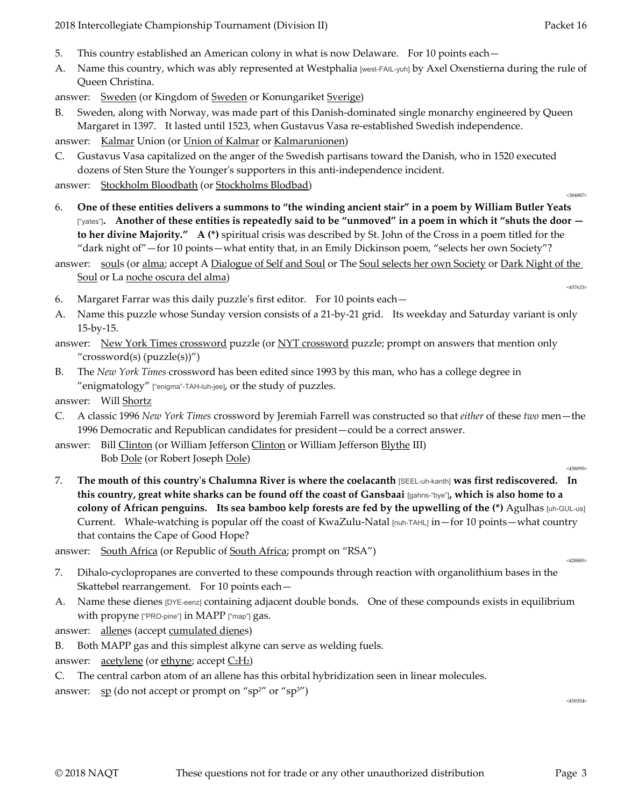- 5. This country established an American colony in what is now Delaware. For 10 points each—
- A. Name this country, which was ably represented at Westphalia [west-FAIL-yuh] by Axel Oxenstierna during the rule of Queen Christina.

answer: Sweden (or Kingdom of Sweden or Konungariket Sverige)

Sweden, along with Norway, was made part of this Danish-dominated single monarchy engineered by Queen Margaret in 1397. It lasted until 1523, when Gustavus Vasa re-established Swedish independence.

answer: Kalmar Union (or Union of Kalmar or Kalmarunionen)

C. Gustavus Vasa capitalized on the anger of the Swedish partisans toward the Danish, who in 1520 executed dozens of Sten Sture the Younger's supporters in this anti-independence incident.

answer: Stockholm Bloodbath (or Stockholms Blodbad) answer: Stockholm Bloodbath (or Stockholms Blodbad)

- 6. **One of these entities delivers a summons to "the winding ancient stair" in a poem by William Butler Yeats**  ["yates"]**. Another of these entities is repeatedly said to be "unmoved" in a poem in which it "shuts the door to her divine Majority." A (\*)** spiritual crisis was described by St. John of the Cross in a poem titled for the "dark night of"—for 10 points—what entity that, in an Emily Dickinson poem, "selects her own Society"?
- answer: souls (or alma; accept A Dialogue of Self and Soul or The Soul selects her own Society or Dark Night of the Soul or La noche oscura del alma)
- 6. Margaret Farrar was this daily puzzle's first editor. For 10 points each—
- A. Name this puzzle whose Sunday version consists of a 21-by-21 grid. Its weekday and Saturday variant is only 15-by-15.
- answer: New York Times crossword puzzle (or NYT crossword puzzle; prompt on answers that mention only "crossword(s) (puzzle(s))")
- B. The *New York Times* crossword has been edited since 1993 by this man, who has a college degree in "enigmatology" ["enigma"-TAH-luh-jee], or the study of puzzles.

answer: Will Shortz

- C. A classic 1996 *New York Times* crossword by Jeremiah Farrell was constructed so that *either* of these *two* men—the 1996 Democratic and Republican candidates for president—could be a correct answer.
- answer: Bill Clinton (or William Jefferson Clinton or William Jefferson Blythe III) Bob <u>Dole</u> (or Robert Joseph <u>Dole</u>) <sub><458095</sub>
- 7. **The mouth of this country's Chalumna River is where the coelacanth** [SEEL-uh-kanth] **was first rediscovered. In this country, great white sharks can be found off the coast of Gansbaai** [gahns-"bye"]**, which is also home to a colony of African penguins. Its sea bamboo kelp forests are fed by the upwelling of the (\*)** Agulhas [uh-GUL-us] Current. Whale-watching is popular off the coast of KwaZulu-Natal [nuh-TAHL] in—for 10 points—what country that contains the Cape of Good Hope?

answer: South Africa (or Republic of South Africa; prompt on "RSA")

- 7. Dihalo-cyclopropanes are converted to these compounds through reaction with organolithium bases in the Skattebøl rearrangement. For 10 points each—
- A. Name these dienes [DYE-eenz] containing adjacent double bonds. One of these compounds exists in equilibrium with propyne ["PRO-pine"] in MAPP ["map"] gas.

answer: allenes (accept cumulated dienes)

- B. Both MAPP gas and this simplest alkyne can serve as welding fuels.
- answer:  $\alpha$  acetylene (or ethyne; accept  $C_2H_2$ )
- C. The central carbon atom of an allene has this orbital hybridization seen in linear molecules.

answer:  $\frac{sp}{d}$  (do not accept or prompt on "sp<sup>2"</sup> or "sp<sup>3"</sup>)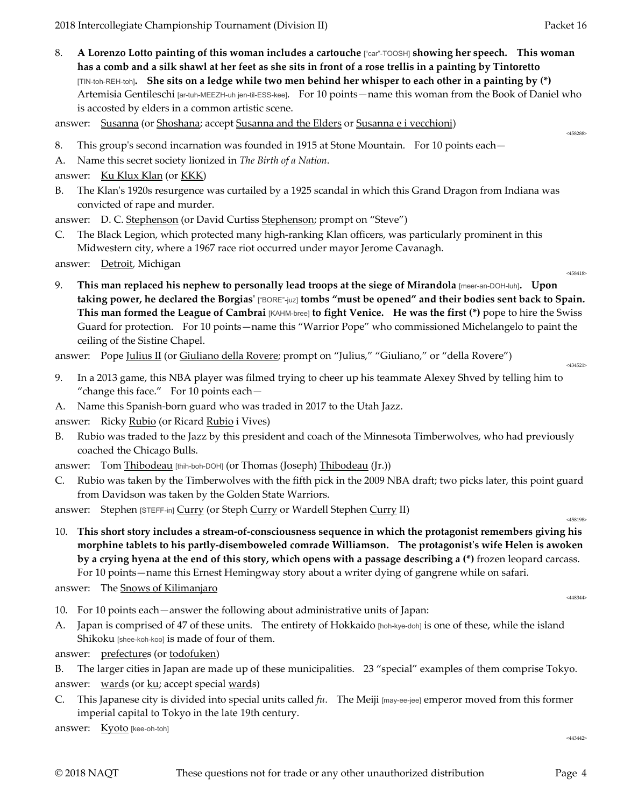8. **A Lorenzo Lotto painting of this woman includes a cartouche** ["car"-TOOSH] **showing her speech. This woman has a comb and a silk shawl at her feet as she sits in front of a rose trellis in a painting by Tintoretto**  [TIN-toh-REH-toh]**. She sits on a ledge while two men behind her whisper to each other in a painting by (\*)** Artemisia Gentileschi [ar-tuh-MEEZH-uh jen-til-ESS-kee]. For 10 points—name this woman from the Book of Daniel who is accosted by elders in a common artistic scene.

answer: Susanna (or Shoshana; accept Susanna and the Elders or Susanna e i vecchioni)

- 8. This group's second incarnation was founded in 1915 at Stone Mountain. For 10 points each—
- A. Name this secret society lionized in *The Birth of a Nation*.
- answer: Ku Klux Klan (or KKK)
- B. The Klan's 1920s resurgence was curtailed by a 1925 scandal in which this Grand Dragon from Indiana was convicted of rape and murder.
- answer: D. C. Stephenson (or David Curtiss Stephenson; prompt on "Steve")
- C. The Black Legion, which protected many high-ranking Klan officers, was particularly prominent in this Midwestern city, where a 1967 race riot occurred under mayor Jerome Cavanagh.

answer: Detroit, Michigan answer:  $\frac{1}{2}$ 

9. **This man replaced his nephew to personally lead troops at the siege of Mirandola** [meer-an-DOH-luh]**. Upon taking power, he declared the Borgias'** ["BORE"-juz] **tombs "must be opened" and their bodies sent back to Spain. This man formed the League of Cambrai** [KAHM-bree] **to fight Venice. He was the first (\*)** pope to hire the Swiss Guard for protection. For 10 points—name this "Warrior Pope" who commissioned Michelangelo to paint the ceiling of the Sistine Chapel.

answer: Pope <u>Julius II</u> (or <u>Giuliano della Rovere</u>; prompt on "Julius," "Giuliano," or "della Rovere")

- 9. In a 2013 game, this NBA player was filmed trying to cheer up his teammate Alexey Shved by telling him to "change this face." For 10 points each—
- A. Name this Spanish-born guard who was traded in 2017 to the Utah Jazz.

answer: Ricky Rubio (or Ricard Rubio i Vives)

B. Rubio was traded to the Jazz by this president and coach of the Minnesota Timberwolves, who had previously coached the Chicago Bulls.

answer: Tom Thibodeau [thih-boh-DOH] (or Thomas (Joseph) Thibodeau (Jr.))

C. Rubio was taken by the Timberwolves with the fifth pick in the 2009 NBA draft; two picks later, this point guard from Davidson was taken by the Golden State Warriors.

answer: Stephen [STEFF-in] Curry (or Steph Curry or Wardell Stephen Curry II)

10. **This short story includes a stream-of-consciousness sequence in which the protagonist remembers giving his morphine tablets to his partly-disemboweled comrade Williamson. The protagonist's wife Helen is awoken by a crying hyena at the end of this story, which opens with a passage describing a (\*)** frozen leopard carcass. For 10 points—name this Ernest Hemingway story about a writer dying of gangrene while on safari.

answer: The <u>Snows of Kilimanjaro and the Snows of Kilimanjaro equation</u>

- 10. For 10 points each—answer the following about administrative units of Japan:
- A. Japan is comprised of 47 of these units. The entirety of Hokkaido [hoh-kye-doh] is one of these, while the island Shikoku [shee-koh-koo] is made of four of them.
- answer: prefectures (or todofuken)

B. The larger cities in Japan are made up of these municipalities. 23 "special" examples of them comprise Tokyo. answer: wards (or ku; accept special wards)

C. This Japanese city is divided into special units called *fu*. The Meiji [may-ee-jee] emperor moved from this former imperial capital to Tokyo in the late 19th century.

answer: Kyoto [kee-oh-toh]

<443442>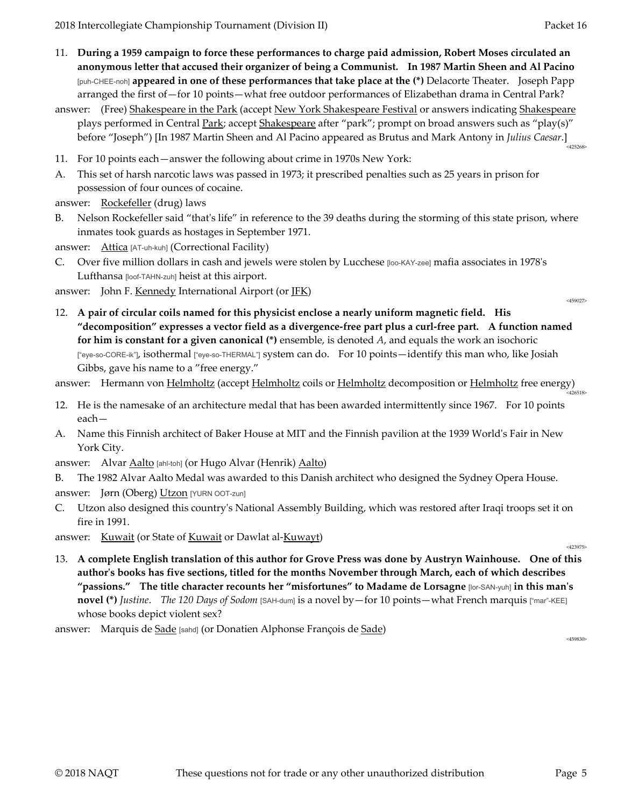- 11. **During a 1959 campaign to force these performances to charge paid admission, Robert Moses circulated an anonymous letter that accused their organizer of being a Communist. In 1987 Martin Sheen and Al Pacino**  [puh-CHEE-noh] **appeared in one of these performances that take place at the (\*)** Delacorte Theater. Joseph Papp arranged the first of—for 10 points—what free outdoor performances of Elizabethan drama in Central Park?
- answer: (Free) Shakespeare in the Park (accept New York Shakespeare Festival or answers indicating Shakespeare plays performed in Central Park; accept Shakespeare after "park"; prompt on broad answers such as "play(s)" before "Joseph") [In 1987 Martin Sheen and Al Pacino appeared as Brutus and Mark Antony in *Julius Caesar*.] <425268>
- 11. For 10 points each—answer the following about crime in 1970s New York:
- A. This set of harsh narcotic laws was passed in 1973; it prescribed penalties such as 25 years in prison for possession of four ounces of cocaine.

answer: Rockefeller (drug) laws

B. Nelson Rockefeller said "that's life" in reference to the 39 deaths during the storming of this state prison, where inmates took guards as hostages in September 1971.

answer: Attica [AT-uh-kuh] (Correctional Facility)

C. Over five million dollars in cash and jewels were stolen by Lucchese [loo-KAY-zee] mafia associates in 1978's Lufthansa [loof-TAHN-zuh] heist at this airport.

answer: John F. <u>Kennedy</u> International Airport (or <u>JFK</u>)

12. **A pair of circular coils named for this physicist enclose a nearly uniform magnetic field. His "decomposition" expresses a vector field as a divergence-free part plus a curl-free part. A function named for him is constant for a given canonical (\*)** ensemble, is denoted *A*, and equals the work an isochoric ["eye-so-CORE-ik"], isothermal ["eye-so-THERMAL"] system can do. For 10 points—identify this man who, like Josiah Gibbs, gave his name to a "free energy."

answer: Hermann von Helmholtz (accept Helmholtz coils or Helmholtz decomposition or Helmholtz free energy)

- 12. He is the namesake of an architecture medal that has been awarded intermittently since 1967. For 10 points each—
- A. Name this Finnish architect of Baker House at MIT and the Finnish pavilion at the 1939 World's Fair in New York City.
- answer: Alvar Aalto [ahl-toh] (or Hugo Alvar (Henrik) Aalto)

B. The 1982 Alvar Aalto Medal was awarded to this Danish architect who designed the Sydney Opera House.

answer: Jørn (Oberg) Utzon [YURN OOT-zun]

Utzon also designed this country's National Assembly Building, which was restored after Iraqi troops set it on fire in 1991.

answer: <u>Kuwait</u> (or State of <u>Kuwait</u> or Dawlat al-<u>Kuwayt</u>)  $\frac{423975}{423975}$ 

13. **A complete English translation of this author for Grove Press was done by Austryn Wainhouse. One of this author's books has five sections, titled for the months November through March, each of which describes "passions." The title character recounts her "misfortunes" to Madame de Lorsagne** [lor-SAN-yuh] **in this man's novel (\*)** *Justine*. *The 120 Days of Sodom* [SAH-dum] is a novel by—for 10 points—what French marquis ["mar"-KEE] whose books depict violent sex?

answer: Marquis de <u>Sade</u> [sahd] (or Donatien Alphonse François de <u>Sade</u>) <459830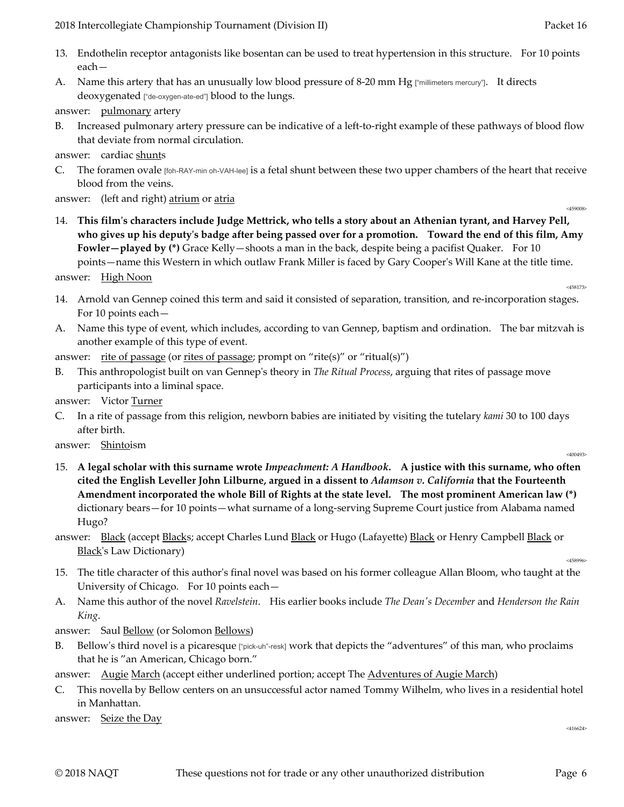- 13. Endothelin receptor antagonists like bosentan can be used to treat hypertension in this structure. For 10 points each—
- A. Name this artery that has an unusually low blood pressure of 8-20 mm Hg ["millimeters mercury"]. It directs deoxygenated ["de-oxygen-ate-ed"] blood to the lungs.
- answer: pulmonary artery
- B. Increased pulmonary artery pressure can be indicative of a left-to-right example of these pathways of blood flow that deviate from normal circulation.

answer: cardiac shunts

C. The foramen ovale [foh-RAY-min oh-VAH-lee] is a fetal shunt between these two upper chambers of the heart that receive blood from the veins.

answer: (left and right) <u>atrium</u> or <u>atria</u>  $\frac{459008}{459008}$ 

14. **This film's characters include Judge Mettrick, who tells a story about an Athenian tyrant, and Harvey Pell, who gives up his deputy's badge after being passed over for a promotion. Toward the end of this film, Amy Fowler—played by (\*)** Grace Kelly—shoots a man in the back, despite being a pacifist Quaker. For 10 points—name this Western in which outlaw Frank Miller is faced by Gary Cooper's Will Kane at the title time.

answer:  $\frac{\text{High Noon}}{458173}$ 

- 14. Arnold van Gennep coined this term and said it consisted of separation, transition, and re-incorporation stages. For 10 points each—
- A. Name this type of event, which includes, according to van Gennep, baptism and ordination. The bar mitzvah is another example of this type of event.
- answer: rite of passage (or rites of passage; prompt on "rite(s)" or "ritual(s)")
- B. This anthropologist built on van Gennep's theory in *The Ritual Process*, arguing that rites of passage move participants into a liminal space.
- answer: Victor Turner
- C. In a rite of passage from this religion, newborn babies are initiated by visiting the tutelary *kami* 30 to 100 days after birth.

answer: <u>Shinto</u>ism answer: Shintoism answer: Shintoism answer:  $\frac{1}{2}$  and  $\frac{400493}{2}$ 

15. **A legal scholar with this surname wrote** *Impeachment: A Handbook***. A justice with this surname, who often cited the English Leveller John Lilburne, argued in a dissent to** *Adamson v. California* **that the Fourteenth Amendment incorporated the whole Bill of Rights at the state level. The most prominent American law (\*)** dictionary bears—for 10 points—what surname of a long-serving Supreme Court justice from Alabama named Hugo?

answer: Black (accept Blacks; accept Charles Lund Black or Hugo (Lafayette) Black or Henry Campbell Black or Black's Law Dictionary)  $\frac{\text{Black's Law Dictionary}}{\text{458996}}$ 

- 15. The title character of this author's final novel was based on his former colleague Allan Bloom, who taught at the University of Chicago. For 10 points each—
- A. Name this author of the novel *Ravelstein*. His earlier books include *The Dean's December* and *Henderson the Rain King*.

answer: Saul <u>Bellow</u> (or Solomon Bellows)

B. Bellow's third novel is a picaresque ["pick-uh"-resk] work that depicts the "adventures" of this man, who proclaims that he is "an American, Chicago born."

answer: Augie March (accept either underlined portion; accept The Adventures of Augie March)

C. This novella by Bellow centers on an unsuccessful actor named Tommy Wilhelm, who lives in a residential hotel in Manhattan.

answer: <u>Seize the Day</u>  $\frac{416624}{416624}$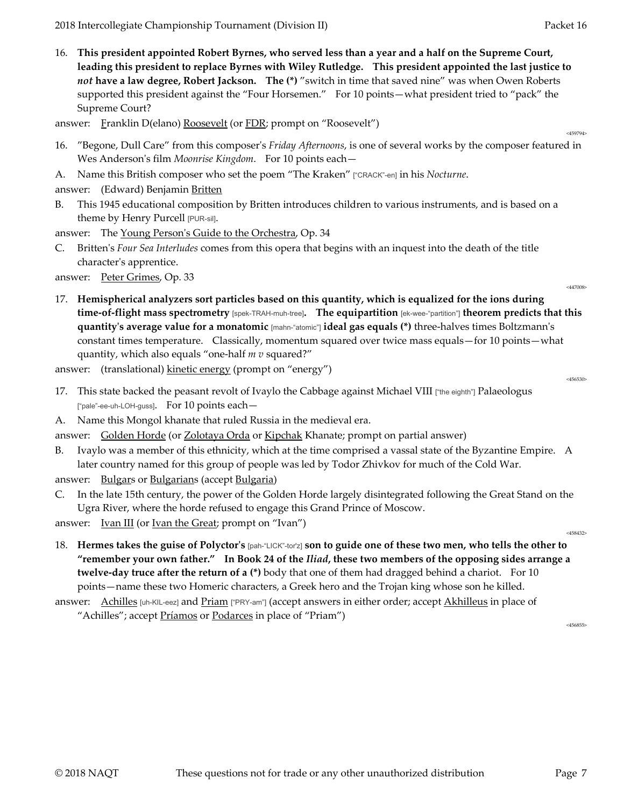16. **This president appointed Robert Byrnes, who served less than a year and a half on the Supreme Court, leading this president to replace Byrnes with Wiley Rutledge. This president appointed the last justice to**  *not* **have a law degree, Robert Jackson. The (\*)** "switch in time that saved nine" was when Owen Roberts supported this president against the "Four Horsemen." For 10 points—what president tried to "pack" the Supreme Court?

answer: Franklin D(elano) Roosevelt (or FDR; prompt on "Roosevelt")

- 16. "Begone, Dull Care" from this composer's *Friday Afternoons*, is one of several works by the composer featured in Wes Anderson's film *Moonrise Kingdom*. For 10 points each—
- A. Name this British composer who set the poem "The Kraken" ["CRACK"-en] in his *Nocturne*.
- answer: (Edward) Benjamin Britten
- B. This 1945 educational composition by Britten introduces children to various instruments, and is based on a theme by Henry Purcell [PUR-sil].
- answer: The Young Person's Guide to the Orchestra, Op. 34
- C. Britten's *Four Sea Interludes* comes from this opera that begins with an inquest into the death of the title character's apprentice.

answer: <u>Peter Grimes</u>, Op. 33

- 
- 17. **Hemispherical analyzers sort particles based on this quantity, which is equalized for the ions during time-of-flight mass spectrometry** [spek-TRAH-muh-tree]**. The equipartition** [ek-wee-"partition"] **theorem predicts that this quantity's average value for a monatomic** [mahn-"atomic"] **ideal gas equals (\*)** three-halves times Boltzmann's constant times temperature. Classically, momentum squared over twice mass equals—for 10 points—what quantity, which also equals "one-half *m v* squared?"

answer: (translational) <u>kinetic energy</u> (prompt on "energy")

- 17. This state backed the peasant revolt of Ivaylo the Cabbage against Michael VIII ["the eighth"] Palaeologus ["pale"-ee-uh-LOH-guss]. For 10 points each—
- A. Name this Mongol khanate that ruled Russia in the medieval era.
- answer: Golden Horde (or Zolotaya Orda or Kipchak Khanate; prompt on partial answer)
- B. Ivaylo was a member of this ethnicity, which at the time comprised a vassal state of the Byzantine Empire. A later country named for this group of people was led by Todor Zhivkov for much of the Cold War.
- answer: Bulgars or Bulgarians (accept Bulgaria)
- In the late 15th century, the power of the Golden Horde largely disintegrated following the Great Stand on the Ugra River, where the horde refused to engage this Grand Prince of Moscow.
- answer:  $\frac{Ivan III}{I}$  (or  $\frac{Ivan the Great}{I}$  prompt on "Ivan")
- 18. **Hermes takes the guise of Polyctor's** [pah-"LICK"-tor'z] **son to guide one of these two men, who tells the other to "remember your own father." In Book 24 of the** *Iliad***, these two members of the opposing sides arrange a twelve-day truce after the return of a (\*)** body that one of them had dragged behind a chariot. For 10 points—name these two Homeric characters, a Greek hero and the Trojan king whose son he killed.

answer: Achilles [uh-KIL-eez] and Priam ["PRY-am"] (accept answers in either order; accept Akhilleus in place of "Achilles"; accept <u>Príamos</u> or <u>Podarces</u> in place of "Priam")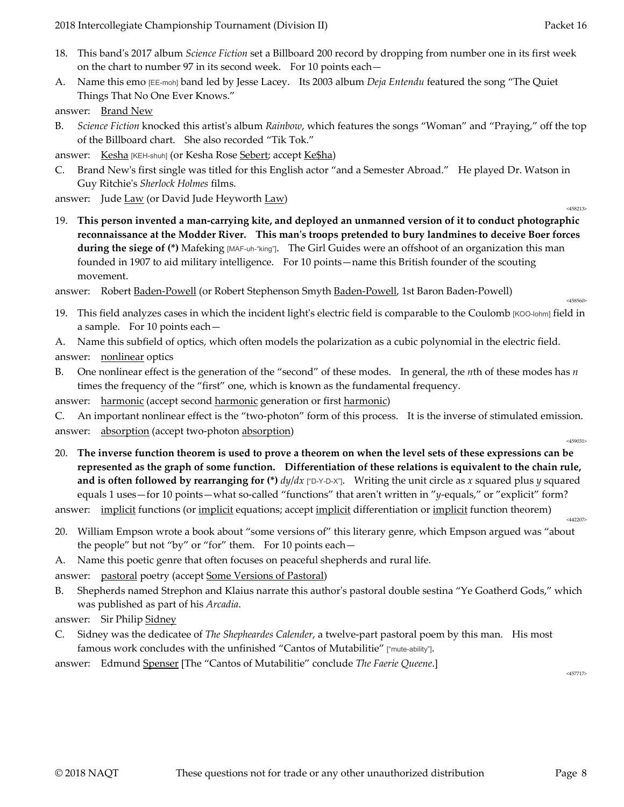- 18. This band's 2017 album *Science Fiction* set a Billboard 200 record by dropping from number one in its first week on the chart to number 97 in its second week. For 10 points each—
- A. Name this emo [EE-moh] band led by Jesse Lacey. Its 2003 album *Deja Entendu* featured the song "The Quiet Things That No One Ever Knows."

answer: Brand New

- B. *Science Fiction* knocked this artist's album *Rainbow*, which features the songs "Woman" and "Praying," off the top of the Billboard chart. She also recorded "Tik Tok."
- answer: Kesha [KEH-shuh] (or Kesha Rose Sebert; accept Ke\$ha)
- C. Brand New's first single was titled for this English actor "and a Semester Abroad." He played Dr. Watson in Guy Ritchie's *Sherlock Holmes* films.
- answer: Jude <u>Law</u> (or David Jude Heyworth <u>Law</u>)  $\frac{1}{2}$
- 19. **This person invented a man-carrying kite, and deployed an unmanned version of it to conduct photographic reconnaissance at the Modder River. This man's troops pretended to bury landmines to deceive Boer forces during the siege of (\*)** Mafeking [MAF-uh-"king"]. The Girl Guides were an offshoot of an organization this man founded in 1907 to aid military intelligence. For 10 points—name this British founder of the scouting movement.

answer: Robert <u>Baden-Powell</u> (or Robert Stephenson Smyth Baden-Powell, 1st Baron Baden-Powell)

- 19. This field analyzes cases in which the incident light's electric field is comparable to the Coulomb [KOO-lohm] field in a sample. For 10 points each—
- A. Name this subfield of optics, which often models the polarization as a cubic polynomial in the electric field. answer: nonlinear optics
- B. One nonlinear effect is the generation of the "second" of these modes. In general, the *n*th of these modes has *n* times the frequency of the "first" one, which is known as the fundamental frequency.

answer: harmonic (accept second harmonic generation or first harmonic)

C. An important nonlinear effect is the "two-photon" form of this process. It is the inverse of stimulated emission. answer: absorption (accept two-photon absorption)  $\frac{458031}{459031}$ 

20. **The inverse function theorem is used to prove a theorem on when the level sets of these expressions can be represented as the graph of some function. Differentiation of these relations is equivalent to the chain rule, and is often followed by rearranging for (\*)** *dy*/*dx* ["D-Y-D-X"]. Writing the unit circle as *x* squared plus *y* squared equals 1 uses—for 10 points—what so-called "functions" that aren't written in "*y*-equals," or "explicit" form?

answer: implicit functions (or <u>implicit</u> equations; accept <u>implicit</u> differentiation or <u>implicit</u> function theorem)

- 20. William Empson wrote a book about "some versions of" this literary genre, which Empson argued was "about the people" but not "by" or "for" them. For 10 points each—
- A. Name this poetic genre that often focuses on peaceful shepherds and rural life.

answer: pastoral poetry (accept Some Versions of Pastoral)

B. Shepherds named Strephon and Klaius narrate this author's pastoral double sestina "Ye Goatherd Gods," which was published as part of his *Arcadia*.

answer: Sir Philip Sidney

C. Sidney was the dedicatee of *The Shepheardes Calender*, a twelve-part pastoral poem by this man. His most famous work concludes with the unfinished "Cantos of Mutabilitie" ["mute-ability"].

answer: Edmund Spenser [The "Cantos of Mutabilitie" conclude *The Faerie Queene*.]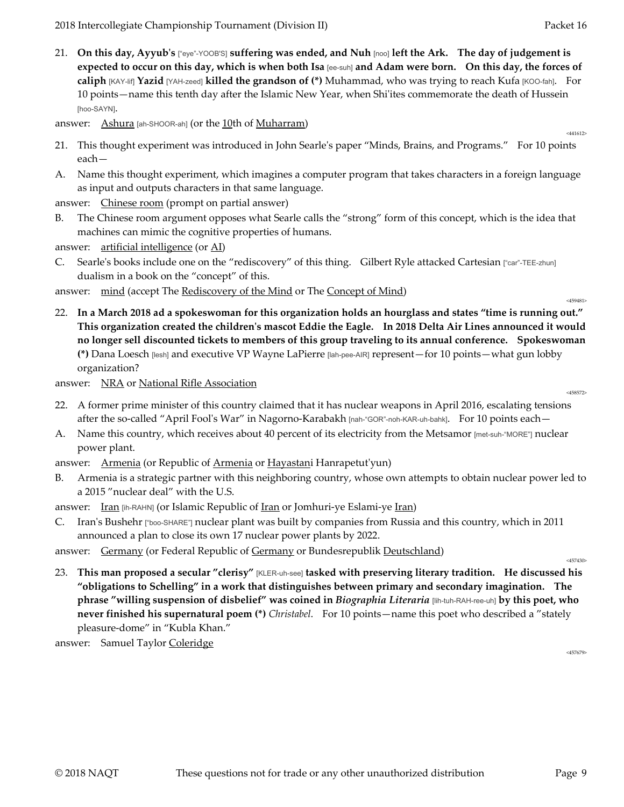21. **On this day, Ayyub's** ["eye"-YOOB'S] **suffering was ended, and Nuh** [noo] **left the Ark. The day of judgement is expected to occur on this day, which is when both Isa** [ee-suh] **and Adam were born. On this day, the forces of caliph** [KAY-lif] **Yazid** [YAH-zeed] **killed the grandson of (\*)** Muhammad, who was trying to reach Kufa [KOO-fah]. For 10 points—name this tenth day after the Islamic New Year, when Shi'ites commemorate the death of Hussein [hoo-SAYN].

answer:  $\underline{Ashura}$  [ah-SHOOR-ah] (or the  $\underline{10}$ th of  $\underline{Muharram}$ )

- 21. This thought experiment was introduced in John Searle's paper "Minds, Brains, and Programs." For 10 points each—
- A. Name this thought experiment, which imagines a computer program that takes characters in a foreign language as input and outputs characters in that same language.

answer: Chinese room (prompt on partial answer)

B. The Chinese room argument opposes what Searle calls the "strong" form of this concept, which is the idea that machines can mimic the cognitive properties of humans.

answer: artificial intelligence (or AI)

C. Searle's books include one on the "rediscovery" of this thing. Gilbert Ryle attacked Cartesian ["car"-TEE-zhun] dualism in a book on the "concept" of this.

answer: mind (accept The <u>Rediscovery of the Mind</u> or The Concept of Mind)

22. **In a March 2018 ad a spokeswoman for this organization holds an hourglass and states "time is running out." This organization created the children's mascot Eddie the Eagle. In 2018 Delta Air Lines announced it would no longer sell discounted tickets to members of this group traveling to its annual conference. Spokeswoman (\*)** Dana Loesch [lesh] and executive VP Wayne LaPierre [lah-pee-AIR] represent—for 10 points—what gun lobby organization?

answer: <u>NRA</u> or <u>National Rifle Association</u>  $\frac{458572}{458572}$ 

- 
- 22. A former prime minister of this country claimed that it has nuclear weapons in April 2016, escalating tensions after the so-called "April Fool's War" in Nagorno-Karabakh [nah-"GOR"-noh-KAR-uh-bahk]. For 10 points each—
- A. Name this country, which receives about 40 percent of its electricity from the Metsamor [met-suh-"MORE"] nuclear power plant.
- answer: Armenia (or Republic of Armenia or Hayastani Hanrapetut'yun)
- B. Armenia is a strategic partner with this neighboring country, whose own attempts to obtain nuclear power led to a 2015 "nuclear deal" with the U.S.

answer: Iran [ih-RAHN] (or Islamic Republic of Iran or Jomhuri-ye Eslami-ye Iran)

C. Iran's Bushehr ["boo-SHARE"] nuclear plant was built by companies from Russia and this country, which in 2011 announced a plan to close its own 17 nuclear power plants by 2022.

answer: Germany (or Federal Republic of Germany or Bundesrepublik Deutschland)

23. **This man proposed a secular "clerisy"** [KLER-uh-see] **tasked with preserving literary tradition. He discussed his "obligations to Schelling" in a work that distinguishes between primary and secondary imagination. The phrase "willing suspension of disbelief" was coined in** *Biographia Literaria* [lih-tuh-RAH-ree-uh] **by this poet, who never finished his supernatural poem (\*)** *Christabel*. For 10 points—name this poet who described a "stately pleasure-dome" in "Kubla Khan."

answer: Samuel Taylor Coleridge  $\frac{457679}{457679}$